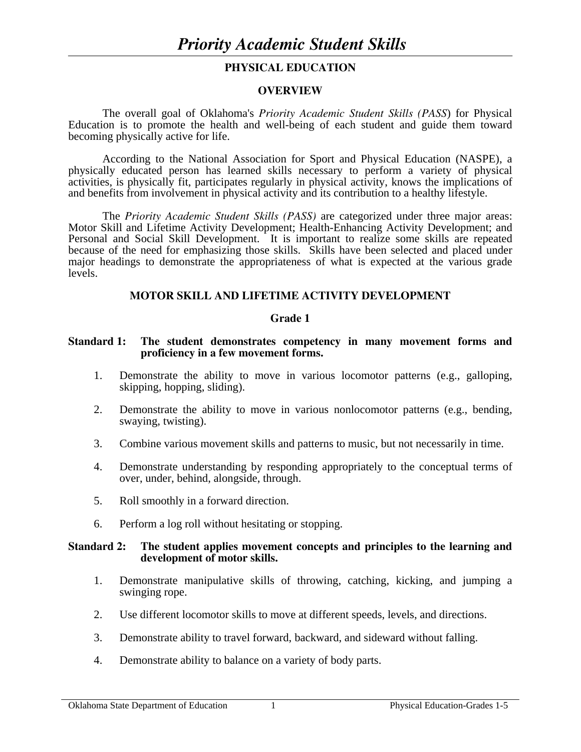#### **PHYSICAL EDUCATION**

#### **OVERVIEW**

The overall goal of Oklahoma's *Priority Academic Student Skills (PASS*) for Physical Education is to promote the health and well-being of each student and guide them toward becoming physically active for life.

 According to the National Association for Sport and Physical Education (NASPE), a physically educated person has learned skills necessary to perform a variety of physical activities, is physically fit, participates regularly in physical activity, knows the implications of and benefits from involvement in physical activity and its contribution to a healthy lifestyle.

 The *Priority Academic Student Skills (PASS)* are categorized under three major areas: Motor Skill and Lifetime Activity Development; Health-Enhancing Activity Development; and Personal and Social Skill Development. It is important to realize some skills are repeated because of the need for emphasizing those skills. Skills have been selected and placed under major headings to demonstrate the appropriateness of what is expected at the various grade levels.

#### **MOTOR SKILL AND LIFETIME ACTIVITY DEVELOPMENT**

#### **Grade 1**

#### **Standard 1: The student demonstrates competency in many movement forms and proficiency in a few movement forms.**

- 1. Demonstrate the ability to move in various locomotor patterns (e.g., galloping, skipping, hopping, sliding).
- 2. Demonstrate the ability to move in various nonlocomotor patterns (e.g., bending, swaying, twisting).
- 3. Combine various movement skills and patterns to music, but not necessarily in time.
- 4. Demonstrate understanding by responding appropriately to the conceptual terms of over, under, behind, alongside, through.
- 5. Roll smoothly in a forward direction.
- 6. Perform a log roll without hesitating or stopping.

#### **Standard 2: The student applies movement concepts and principles to the learning and development of motor skills.**

- 1. Demonstrate manipulative skills of throwing, catching, kicking, and jumping a swinging rope.
- 2. Use different locomotor skills to move at different speeds, levels, and directions.
- 3. Demonstrate ability to travel forward, backward, and sideward without falling.
- 4. Demonstrate ability to balance on a variety of body parts.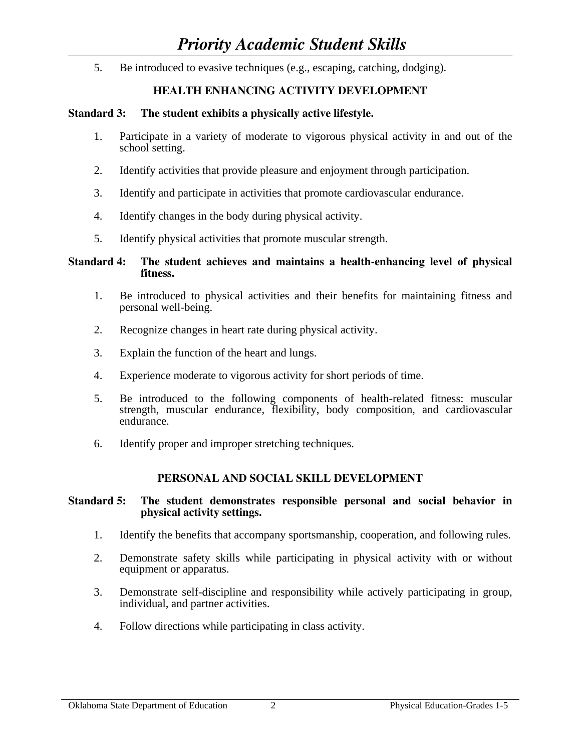5. Be introduced to evasive techniques (e.g., escaping, catching, dodging).

# **HEALTH ENHANCING ACTIVITY DEVELOPMENT**

# **Standard 3: The student exhibits a physically active lifestyle.**

- 1. Participate in a variety of moderate to vigorous physical activity in and out of the school setting.
- 2. Identify activities that provide pleasure and enjoyment through participation.
- 3. Identify and participate in activities that promote cardiovascular endurance.
- 4. Identify changes in the body during physical activity.
- 5. Identify physical activities that promote muscular strength.

# **Standard 4: The student achieves and maintains a health-enhancing level of physical fitness.**

- 1. Be introduced to physical activities and their benefits for maintaining fitness and personal well-being.
- 2. Recognize changes in heart rate during physical activity.
- 3. Explain the function of the heart and lungs.
- 4. Experience moderate to vigorous activity for short periods of time.
- 5. Be introduced to the following components of health-related fitness: muscular strength, muscular endurance, flexibility, body composition, and cardiovascular endurance.
- 6. Identify proper and improper stretching techniques.

# **PERSONAL AND SOCIAL SKILL DEVELOPMENT**

#### **Standard 5: The student demonstrates responsible personal and social behavior in physical activity settings.**

- 1. Identify the benefits that accompany sportsmanship, cooperation, and following rules.
- 2. Demonstrate safety skills while participating in physical activity with or without equipment or apparatus.
- 3. Demonstrate self-discipline and responsibility while actively participating in group, individual, and partner activities.
- 4. Follow directions while participating in class activity.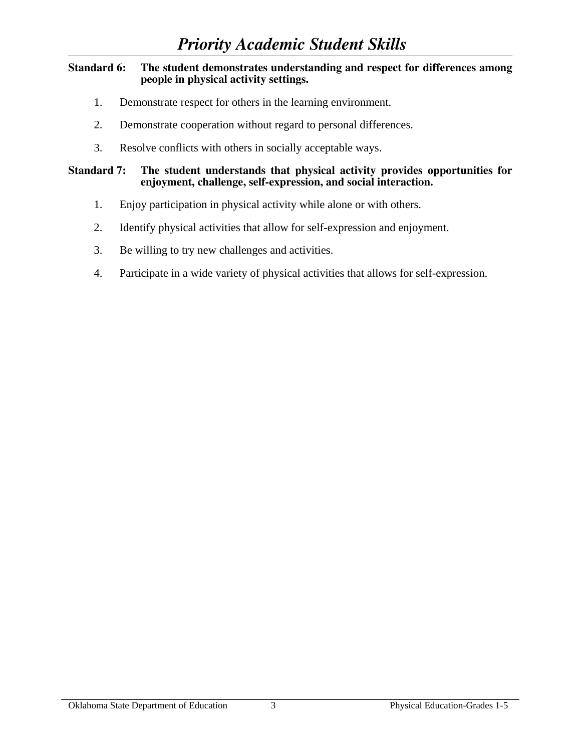## **Standard 6: The student demonstrates understanding and respect for differences among people in physical activity settings.**

- 1. Demonstrate respect for others in the learning environment.
- 2. Demonstrate cooperation without regard to personal differences.
- 3. Resolve conflicts with others in socially acceptable ways.

# **Standard 7: The student understands that physical activity provides opportunities for enjoyment, challenge, self-expression, and social interaction.**

- 1. Enjoy participation in physical activity while alone or with others.
- 2. Identify physical activities that allow for self-expression and enjoyment.
- 3. Be willing to try new challenges and activities.
- 4. Participate in a wide variety of physical activities that allows for self-expression.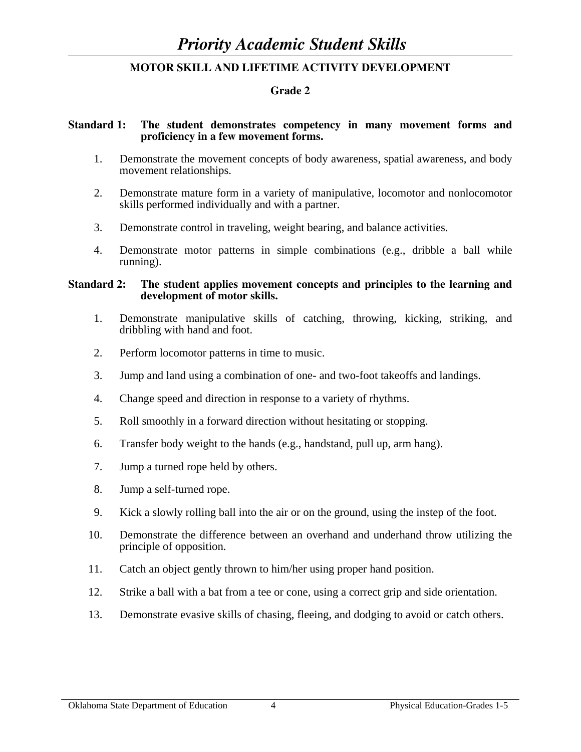## **Grade 2**

#### **Standard 1: The student demonstrates competency in many movement forms and proficiency in a few movement forms.**

- 1. Demonstrate the movement concepts of body awareness, spatial awareness, and body movement relationships.
- 2. Demonstrate mature form in a variety of manipulative, locomotor and nonlocomotor skills performed individually and with a partner.
- 3. Demonstrate control in traveling, weight bearing, and balance activities.
- 4. Demonstrate motor patterns in simple combinations (e.g., dribble a ball while running).

#### **Standard 2: The student applies movement concepts and principles to the learning and development of motor skills.**

- 1. Demonstrate manipulative skills of catching, throwing, kicking, striking, and dribbling with hand and foot.
- 2. Perform locomotor patterns in time to music.
- 3. Jump and land using a combination of one- and two-foot takeoffs and landings.
- 4. Change speed and direction in response to a variety of rhythms.
- 5. Roll smoothly in a forward direction without hesitating or stopping.
- 6. Transfer body weight to the hands (e.g., handstand, pull up, arm hang).
- 7. Jump a turned rope held by others.
- 8. Jump a self-turned rope.
- 9. Kick a slowly rolling ball into the air or on the ground, using the instep of the foot.
- 10. Demonstrate the difference between an overhand and underhand throw utilizing the principle of opposition.
- 11. Catch an object gently thrown to him/her using proper hand position.
- 12. Strike a ball with a bat from a tee or cone, using a correct grip and side orientation.
- 13. Demonstrate evasive skills of chasing, fleeing, and dodging to avoid or catch others.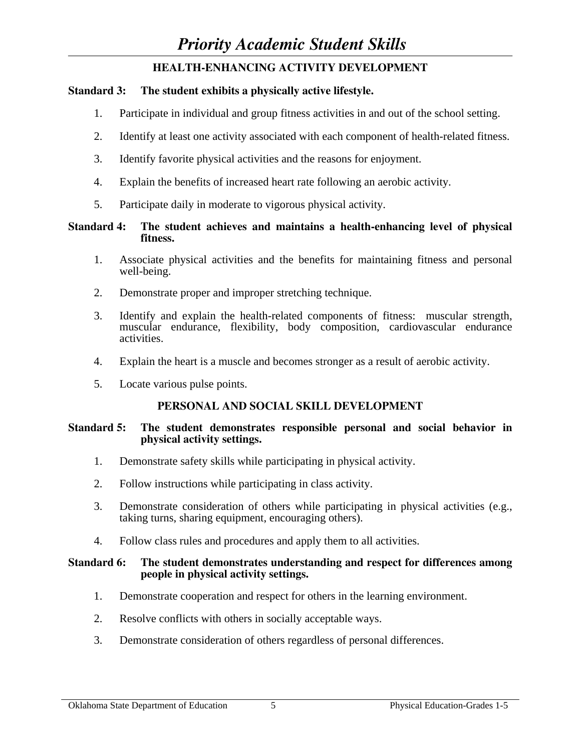# **HEALTH-ENHANCING ACTIVITY DEVELOPMENT**

# **Standard 3: The student exhibits a physically active lifestyle.**

- 1. Participate in individual and group fitness activities in and out of the school setting.
- 2. Identify at least one activity associated with each component of health-related fitness.
- 3. Identify favorite physical activities and the reasons for enjoyment.
- 4. Explain the benefits of increased heart rate following an aerobic activity.
- 5. Participate daily in moderate to vigorous physical activity.

# **Standard 4: The student achieves and maintains a health-enhancing level of physical fitness.**

- 1. Associate physical activities and the benefits for maintaining fitness and personal well-being.
- 2. Demonstrate proper and improper stretching technique.
- 3. Identify and explain the health-related components of fitness: muscular strength, muscular endurance, flexibility, body composition, cardiovascular endurance activities.
- 4. Explain the heart is a muscle and becomes stronger as a result of aerobic activity.
- 5. Locate various pulse points.

# **PERSONAL AND SOCIAL SKILL DEVELOPMENT**

# **Standard 5: The student demonstrates responsible personal and social behavior in physical activity settings.**

- 1. Demonstrate safety skills while participating in physical activity.
- 2. Follow instructions while participating in class activity.
- 3. Demonstrate consideration of others while participating in physical activities (e.g., taking turns, sharing equipment, encouraging others).
- 4. Follow class rules and procedures and apply them to all activities.

#### **Standard 6: The student demonstrates understanding and respect for differences among people in physical activity settings.**

- 1. Demonstrate cooperation and respect for others in the learning environment.
- 2. Resolve conflicts with others in socially acceptable ways.
- 3. Demonstrate consideration of others regardless of personal differences.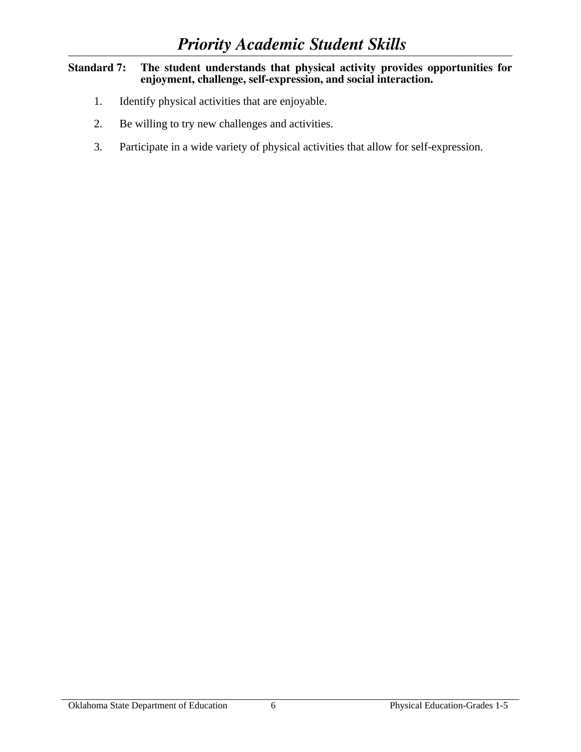## **Standard 7: The student understands that physical activity provides opportunities for enjoyment, challenge, self-expression, and social interaction.**

- 1. Identify physical activities that are enjoyable.
- 2. Be willing to try new challenges and activities.
- 3. Participate in a wide variety of physical activities that allow for self-expression.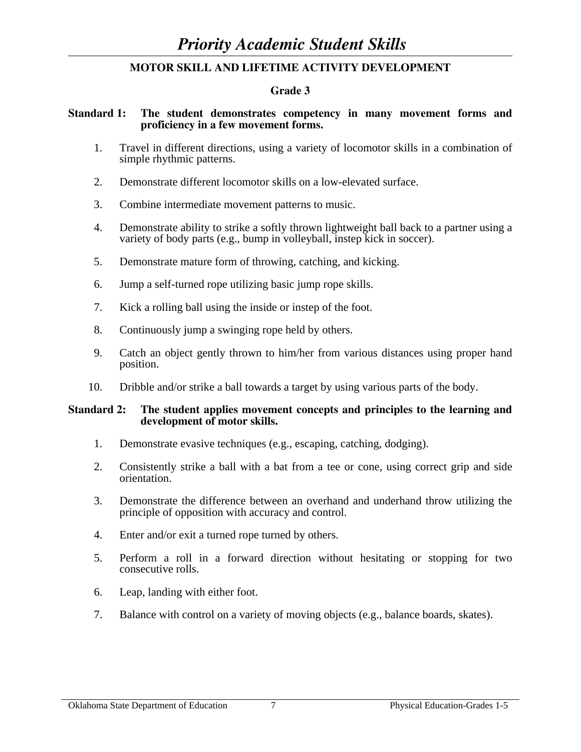# **Grade 3**

# **Standard 1: The student demonstrates competency in many movement forms and proficiency in a few movement forms.**

- 1. Travel in different directions, using a variety of locomotor skills in a combination of simple rhythmic patterns.
- 2. Demonstrate different locomotor skills on a low-elevated surface.
- 3. Combine intermediate movement patterns to music.
- 4. Demonstrate ability to strike a softly thrown lightweight ball back to a partner using a variety of body parts (e.g., bump in volleyball, instep kick in soccer).
- 5. Demonstrate mature form of throwing, catching, and kicking.
- 6. Jump a self-turned rope utilizing basic jump rope skills.
- 7. Kick a rolling ball using the inside or instep of the foot.
- 8. Continuously jump a swinging rope held by others.
- 9. Catch an object gently thrown to him/her from various distances using proper hand position.
- 10. Dribble and/or strike a ball towards a target by using various parts of the body.

#### **Standard 2: The student applies movement concepts and principles to the learning and development of motor skills.**

- 1. Demonstrate evasive techniques (e.g., escaping, catching, dodging).
- 2. Consistently strike a ball with a bat from a tee or cone, using correct grip and side orientation.
- 3. Demonstrate the difference between an overhand and underhand throw utilizing the principle of opposition with accuracy and control.
- 4. Enter and/or exit a turned rope turned by others.
- 5. Perform a roll in a forward direction without hesitating or stopping for two consecutive rolls.
- 6. Leap, landing with either foot.
- 7. Balance with control on a variety of moving objects (e.g., balance boards, skates).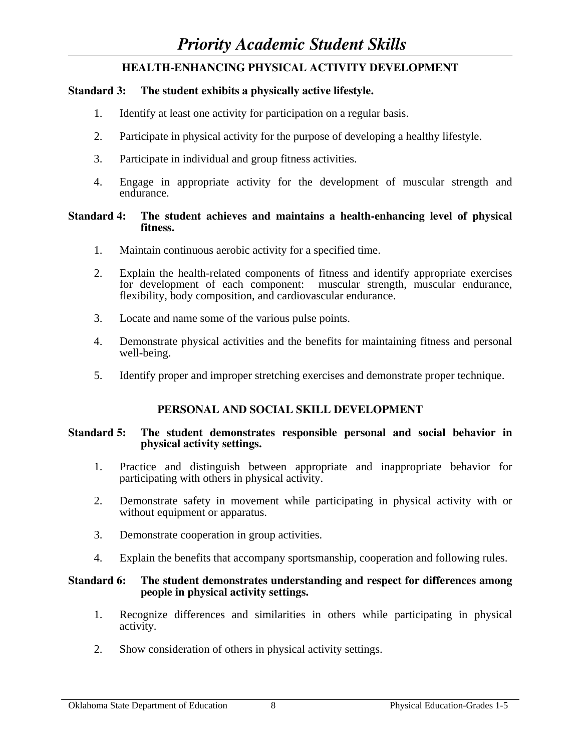# **HEALTH-ENHANCING PHYSICAL ACTIVITY DEVELOPMENT**

# **Standard 3: The student exhibits a physically active lifestyle.**

- 1. Identify at least one activity for participation on a regular basis.
- 2. Participate in physical activity for the purpose of developing a healthy lifestyle.
- 3. Participate in individual and group fitness activities.
- 4. Engage in appropriate activity for the development of muscular strength and endurance.

#### **Standard 4: The student achieves and maintains a health-enhancing level of physical fitness.**

- 1. Maintain continuous aerobic activity for a specified time.
- 2. Explain the health-related components of fitness and identify appropriate exercises for development of each component: muscular strength, muscular endurance, flexibility, body composition, and cardiovascular endurance.
- 3. Locate and name some of the various pulse points.
- 4. Demonstrate physical activities and the benefits for maintaining fitness and personal well-being.
- 5. Identify proper and improper stretching exercises and demonstrate proper technique.

# **PERSONAL AND SOCIAL SKILL DEVELOPMENT**

#### **Standard 5: The student demonstrates responsible personal and social behavior in physical activity settings.**

- 1. Practice and distinguish between appropriate and inappropriate behavior for participating with others in physical activity.
- 2. Demonstrate safety in movement while participating in physical activity with or without equipment or apparatus.
- 3. Demonstrate cooperation in group activities.
- 4. Explain the benefits that accompany sportsmanship, cooperation and following rules.

#### **Standard 6: The student demonstrates understanding and respect for differences among people in physical activity settings.**

- 1. Recognize differences and similarities in others while participating in physical activity.
- 2. Show consideration of others in physical activity settings.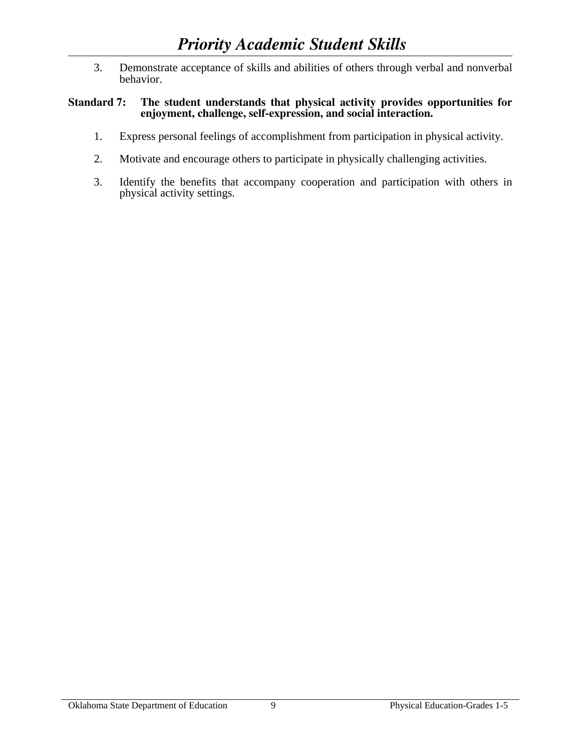3. Demonstrate acceptance of skills and abilities of others through verbal and nonverbal behavior.

## **Standard 7: The student understands that physical activity provides opportunities for enjoyment, challenge, self-expression, and social interaction.**

- 1. Express personal feelings of accomplishment from participation in physical activity.
- 2. Motivate and encourage others to participate in physically challenging activities.
- 3. Identify the benefits that accompany cooperation and participation with others in physical activity settings.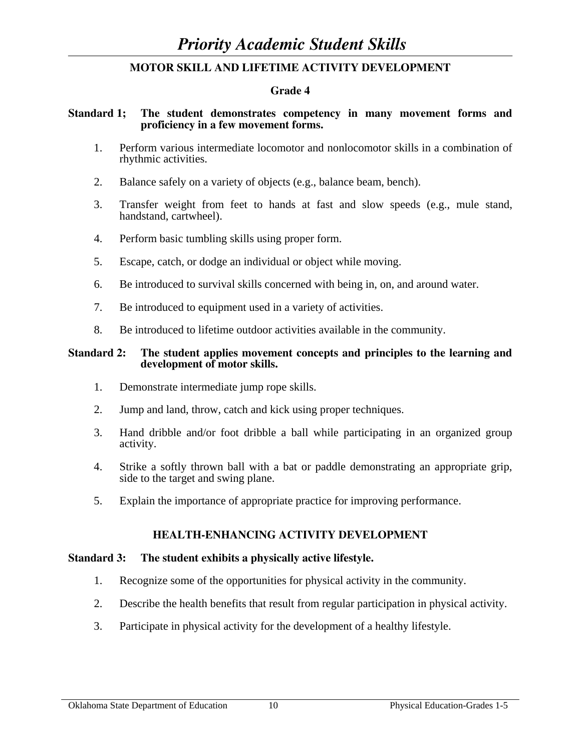#### **Grade 4**

#### **Standard 1; The student demonstrates competency in many movement forms and proficiency in a few movement forms.**

- 1. Perform various intermediate locomotor and nonlocomotor skills in a combination of rhythmic activities.
- 2. Balance safely on a variety of objects (e.g., balance beam, bench).
- 3. Transfer weight from feet to hands at fast and slow speeds (e.g., mule stand, handstand, cartwheel).
- 4. Perform basic tumbling skills using proper form.
- 5. Escape, catch, or dodge an individual or object while moving.
- 6. Be introduced to survival skills concerned with being in, on, and around water.
- 7. Be introduced to equipment used in a variety of activities.
- 8. Be introduced to lifetime outdoor activities available in the community.

#### **Standard 2: The student applies movement concepts and principles to the learning and development of motor skills.**

- 1. Demonstrate intermediate jump rope skills.
- 2. Jump and land, throw, catch and kick using proper techniques.
- 3. Hand dribble and/or foot dribble a ball while participating in an organized group activity.
- 4. Strike a softly thrown ball with a bat or paddle demonstrating an appropriate grip, side to the target and swing plane.
- 5. Explain the importance of appropriate practice for improving performance.

# **HEALTH-ENHANCING ACTIVITY DEVELOPMENT**

#### **Standard 3: The student exhibits a physically active lifestyle.**

- 1. Recognize some of the opportunities for physical activity in the community.
- 2. Describe the health benefits that result from regular participation in physical activity.
- 3. Participate in physical activity for the development of a healthy lifestyle.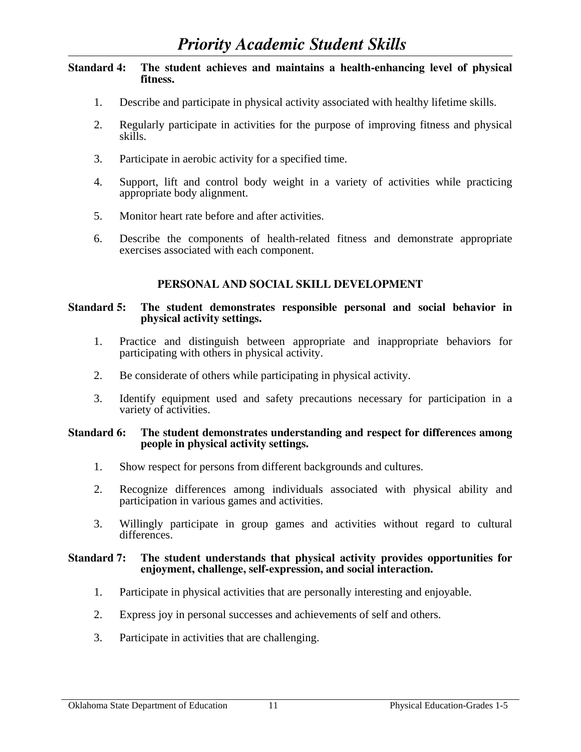## **Standard 4: The student achieves and maintains a health-enhancing level of physical fitness.**

- 1. Describe and participate in physical activity associated with healthy lifetime skills.
- 2. Regularly participate in activities for the purpose of improving fitness and physical skills.
- 3. Participate in aerobic activity for a specified time.
- 4. Support, lift and control body weight in a variety of activities while practicing appropriate body alignment.
- 5. Monitor heart rate before and after activities.
- 6. Describe the components of health-related fitness and demonstrate appropriate exercises associated with each component.

# **PERSONAL AND SOCIAL SKILL DEVELOPMENT**

#### **Standard 5: The student demonstrates responsible personal and social behavior in physical activity settings.**

- 1. Practice and distinguish between appropriate and inappropriate behaviors for participating with others in physical activity.
- 2. Be considerate of others while participating in physical activity.
- 3. Identify equipment used and safety precautions necessary for participation in a variety of activities.

#### **Standard 6: The student demonstrates understanding and respect for differences among people in physical activity settings.**

- 1. Show respect for persons from different backgrounds and cultures.
- 2. Recognize differences among individuals associated with physical ability and participation in various games and activities.
- 3. Willingly participate in group games and activities without regard to cultural differences.

#### **Standard 7: The student understands that physical activity provides opportunities for enjoyment, challenge, self-expression, and social interaction.**

- 1. Participate in physical activities that are personally interesting and enjoyable.
- 2. Express joy in personal successes and achievements of self and others.
- 3. Participate in activities that are challenging.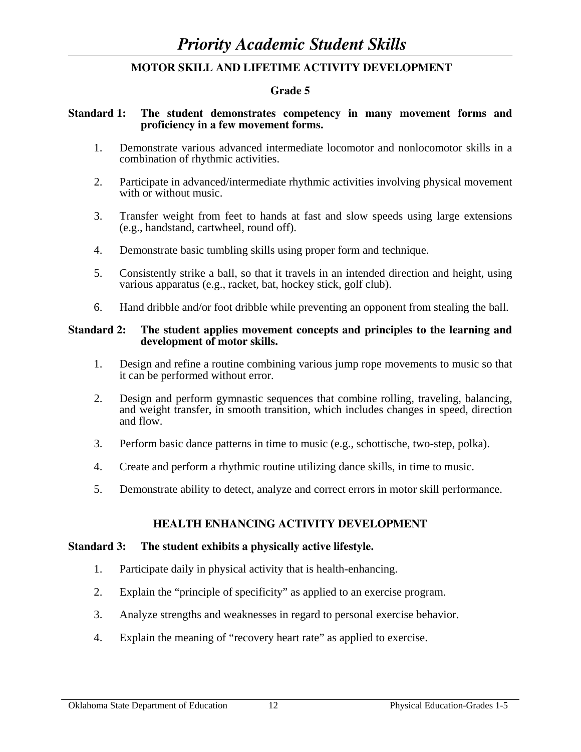#### **Grade 5**

#### **Standard 1: The student demonstrates competency in many movement forms and proficiency in a few movement forms.**

- 1. Demonstrate various advanced intermediate locomotor and nonlocomotor skills in a combination of rhythmic activities.
- 2. Participate in advanced/intermediate rhythmic activities involving physical movement with or without music.
- 3. Transfer weight from feet to hands at fast and slow speeds using large extensions (e.g., handstand, cartwheel, round off).
- 4. Demonstrate basic tumbling skills using proper form and technique.
- 5. Consistently strike a ball, so that it travels in an intended direction and height, using various apparatus (e.g., racket, bat, hockey stick, golf club).
- 6. Hand dribble and/or foot dribble while preventing an opponent from stealing the ball.

#### **Standard 2: The student applies movement concepts and principles to the learning and development of motor skills.**

- 1. Design and refine a routine combining various jump rope movements to music so that it can be performed without error.
- 2. Design and perform gymnastic sequences that combine rolling, traveling, balancing, and weight transfer, in smooth transition, which includes changes in speed, direction and flow.
- 3. Perform basic dance patterns in time to music (e.g., schottische, two-step, polka).
- 4. Create and perform a rhythmic routine utilizing dance skills, in time to music.
- 5. Demonstrate ability to detect, analyze and correct errors in motor skill performance.

#### **HEALTH ENHANCING ACTIVITY DEVELOPMENT**

#### **Standard 3: The student exhibits a physically active lifestyle.**

- 1. Participate daily in physical activity that is health-enhancing.
- 2. Explain the "principle of specificity" as applied to an exercise program.
- 3. Analyze strengths and weaknesses in regard to personal exercise behavior.
- 4. Explain the meaning of "recovery heart rate" as applied to exercise.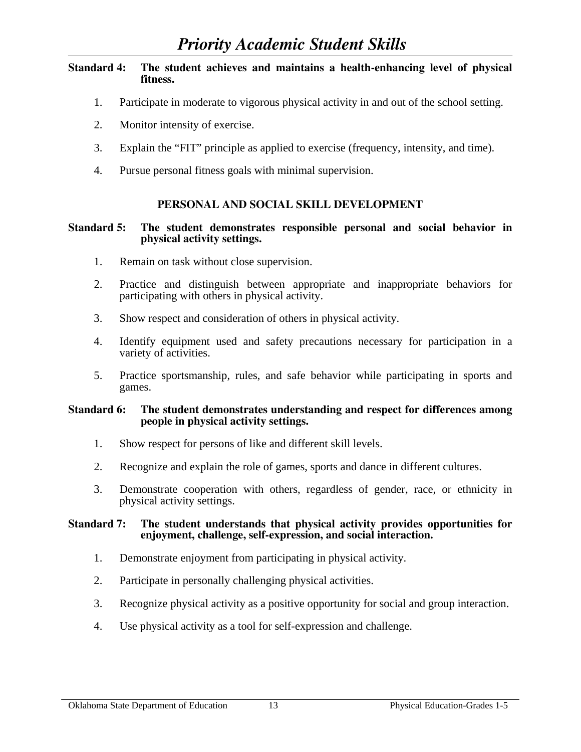# **Standard 4: The student achieves and maintains a health-enhancing level of physical fitness.**

- 1. Participate in moderate to vigorous physical activity in and out of the school setting.
- 2. Monitor intensity of exercise.
- 3. Explain the "FIT" principle as applied to exercise (frequency, intensity, and time).
- 4. Pursue personal fitness goals with minimal supervision.

# **PERSONAL AND SOCIAL SKILL DEVELOPMENT**

#### **Standard 5: The student demonstrates responsible personal and social behavior in physical activity settings.**

- 1. Remain on task without close supervision.
- 2. Practice and distinguish between appropriate and inappropriate behaviors for participating with others in physical activity.
- 3. Show respect and consideration of others in physical activity.
- 4. Identify equipment used and safety precautions necessary for participation in a variety of activities.
- 5. Practice sportsmanship, rules, and safe behavior while participating in sports and games.

#### **Standard 6: The student demonstrates understanding and respect for differences among people in physical activity settings.**

- 1. Show respect for persons of like and different skill levels.
- 2. Recognize and explain the role of games, sports and dance in different cultures.
- 3. Demonstrate cooperation with others, regardless of gender, race, or ethnicity in physical activity settings.

#### **Standard 7: The student understands that physical activity provides opportunities for enjoyment, challenge, self-expression, and social interaction.**

- 1. Demonstrate enjoyment from participating in physical activity.
- 2. Participate in personally challenging physical activities.
- 3. Recognize physical activity as a positive opportunity for social and group interaction.
- 4. Use physical activity as a tool for self-expression and challenge.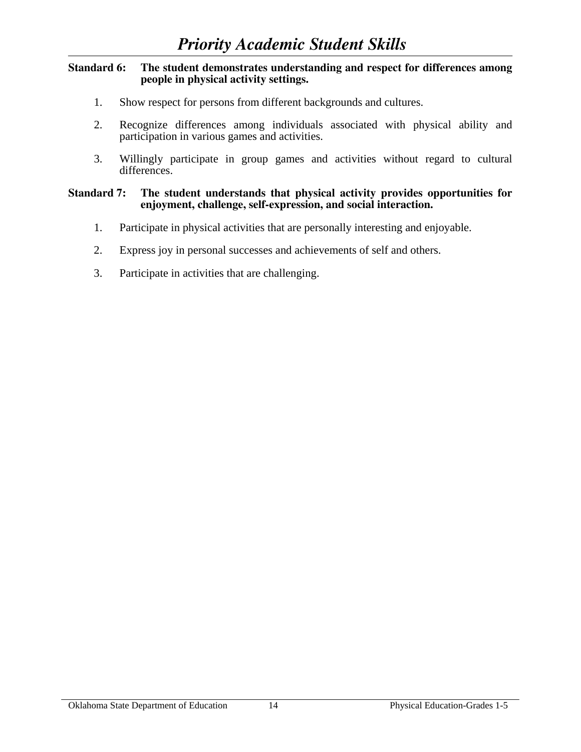#### **Standard 6: The student demonstrates understanding and respect for differences among people in physical activity settings.**

- 1. Show respect for persons from different backgrounds and cultures.
- 2. Recognize differences among individuals associated with physical ability and participation in various games and activities.
- 3. Willingly participate in group games and activities without regard to cultural differences.

#### **Standard 7: The student understands that physical activity provides opportunities for enjoyment, challenge, self-expression, and social interaction.**

- 1. Participate in physical activities that are personally interesting and enjoyable.
- 2. Express joy in personal successes and achievements of self and others.
- 3. Participate in activities that are challenging.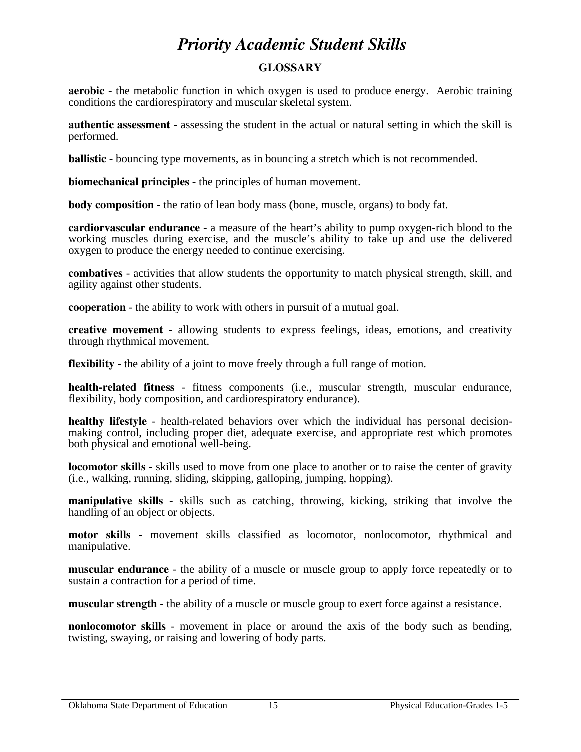# *Priority Academic Student Skills*

# **GLOSSARY**

**aerobic** - the metabolic function in which oxygen is used to produce energy. Aerobic training conditions the cardiorespiratory and muscular skeletal system.

**authentic assessment** - assessing the student in the actual or natural setting in which the skill is performed.

**ballistic** - bouncing type movements, as in bouncing a stretch which is not recommended.

**biomechanical principles** - the principles of human movement.

**body composition** - the ratio of lean body mass (bone, muscle, organs) to body fat.

**cardiorvascular endurance** - a measure of the heart's ability to pump oxygen-rich blood to the working muscles during exercise, and the muscle's ability to take up and use the delivered oxygen to produce the energy needed to continue exercising.

**combatives** - activities that allow students the opportunity to match physical strength, skill, and agility against other students.

**cooperation** - the ability to work with others in pursuit of a mutual goal.

**creative movement** - allowing students to express feelings, ideas, emotions, and creativity through rhythmical movement.

**flexibility** - the ability of a joint to move freely through a full range of motion.

**health-related fitness** - fitness components (i.e., muscular strength, muscular endurance, flexibility, body composition, and cardiorespiratory endurance).

**healthy lifestyle** - health-related behaviors over which the individual has personal decisionmaking control, including proper diet, adequate exercise, and appropriate rest which promotes both physical and emotional well-being.

**locomotor skills** - skills used to move from one place to another or to raise the center of gravity (i.e., walking, running, sliding, skipping, galloping, jumping, hopping).

**manipulative skills** - skills such as catching, throwing, kicking, striking that involve the handling of an object or objects.

**motor skills** - movement skills classified as locomotor, nonlocomotor, rhythmical and manipulative.

**muscular endurance** - the ability of a muscle or muscle group to apply force repeatedly or to sustain a contraction for a period of time.

**muscular strength** - the ability of a muscle or muscle group to exert force against a resistance.

**nonlocomotor skills** - movement in place or around the axis of the body such as bending, twisting, swaying, or raising and lowering of body parts.